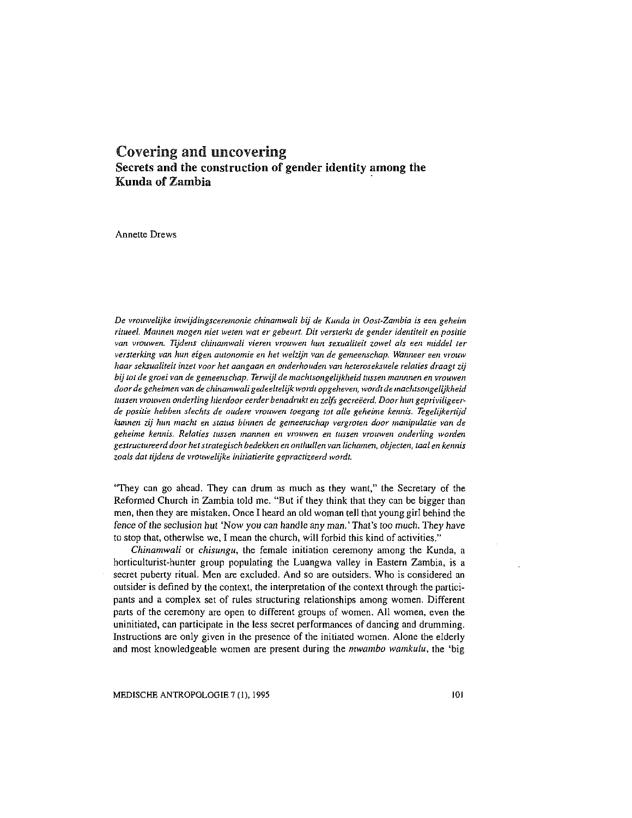# Covering and uncovering Secrets and the construction of gender identity among the Kunda of Zambia

Annette Drews

*De vrouwelijke imvijdingsceremonie chinamwali bij de Kunda in* Oost~Zambia *is een geheim*  ritueel. Mannen mogen niet weten wat er gebeurt. Dit versterkt de gender identiteit en positie *van vrouwen. Tijdens chinamwali vieren vrouwen lum sexualiteit zowel als een middel ter*  versterking van hun eigen autonomie en het welzijn van de gemeenschap. Wanneer een vrouw *haar seksualiteit inzet voor het aangaan en onderhouden van heteroseksuele relaties draagt zij*  bij tot de groei van de gemeenschap. Terwijl de machtsongelijkheid tussen mannnen en vrouwen *door de geheimen van de chinamwali gedeeltelijk wordt opgeheven, wordt de machtsongelijkheid*  lussen vrouwen onderling hierdoor eerder benadrukt en zelfs gecreëerd. Door hun gepriviligeer*de positie hebben slechts de oudere vrouwen toegang tot alte geheime kenmS. Tegelzjkertijd kunnen zij Jmn macht en status birmen de gemeenschap vergroten door manipulatie van de geheime kemlis. Relaties tussen mannen en vrouwen en tussen vrouwen onderling warden gestructureerd door het strategisch bedekken en onthullen van lichamen, objecten, taal en kemlis*  zoals dat tijdens de vrouwelijke initiatierite gepractizeerd wordt.

"They can go ahead. They can drum as much as they want," the Secretary of the Reformed Church in Zambia told me. "But if they think that they can be bigger than men, then they are mistaken. Once I heard an old woman tell that young girl behind the fence of the seclusion hut 'Now you can handle any man.' That's too much. They have to stop that, otherwise we, I mean the church, will forbid this kind of activities."

*Chinamwali* or *chisungu,* the female initiation ceremony among the Kunda, a horticulturist-hunter group populating the Luangwa valley in Eastern Zambia, is a secret puberty ritual. Men are excluded. And so are outsiders. Who is considered an outsider is defined by the context, the interpretation of the context through the participants and a complex set of rules structuring relationships among women. Different parts of the ceremony are open to different groups of women. All women, even the uninitiated, can participate in the less secret performances of dancing and drumming. Instructions are only given in the presence of the initiated women. Alone the elderly and most knowledgeable women are present during the *mwambo wamkulu,* the 'big

MEDISCHE ANTROPOLOGIE 7 (1), 1995 101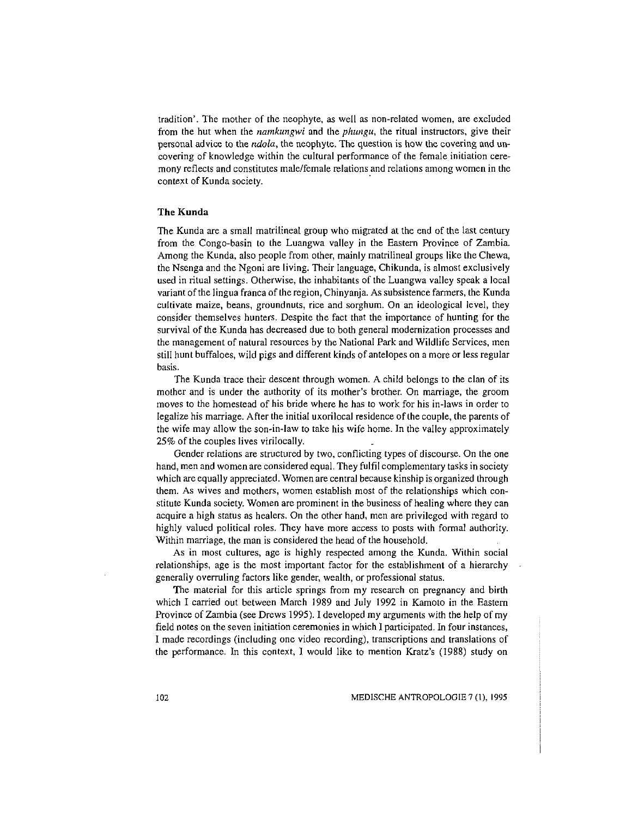tradition'. The mother of the neophyte, as well as non-related women, are excluded from the hut when the *namkungwi* and the *phungu,* the ritual instructors, give their personal advice to the *ndola,* the neophyte. The question is how the covering and uncovering of knowledge within the cultural performance of the female initiation ceremony reflects and constitutes male/female relations and relations among women in the context of Kunda society.

# The Kunda

The Kunda are a small matrilineal group who migrated at the end of the last century from the Congo-basin to the Luangwa valley in the Eastern Province of Zambia. Among the Kunda, also people from other, mainly matrilineal groups like the Chewa, the Nsenga and the Ngoni are living. Their language, Chikunda, is almost exclusively used in ritual settings. Otherwise, the inhabitants of the Luangwa valley speak a local variant of the lingua franca of the region, Chinyanja. As subsistence farmers, the Kunda cultivate maize, beans, groundnuts, rice and sorghum. On an ideological level, they consider themselves hunters. Despite the fact that the importance of hunting for the survival of the Kunda has decreased due to both general modernization processes and the management of natural resources by the National Park and Wildlife Services, men still hunt buffaloes, wild pigs and different kinds of antelopes on a more or less regular basis.

The Kunda trace their descent through women. A child belongs to the clan of its mother and is under the authority of its mother's brother. On marriage, the groom moves to the homestead of his bride where he has to work for his in-laws in order to legalize his marriage. After the initial uxorilocal residence of the couple, the parents of the wife may allow the son-in-law to take his wife home. In the valley approximately 25% of the couples lives virilocally.

Gender relations are structured by two, conflicting types of discourse. On the one hand, men and women are considered equal. They fulfil complementary tasks in society which are equally appreciated. Women are central because kinship is organized through them. As wives and mothers, women establish most of the relationships which constitute Kunda society. Women are prominent in the business of healing where they can acquire a high status as healers. On the other hand, men are privileged with regard to highly valued political roles. They have more access to posts with formal authority. Within marriage, the man is considered the head of the household.

As in most cultures, age is highly respected among the Kunda. Within social relationships, age is the most important factor for the establishment of a hierarchy generally overruling factors like gender, wealth, or professional status.

The material for this article springs from my research on pregnancy and birth which I carried out between March 1989 and July 1992 in Kamoto in the Eastern Province of Zambia (see Drews 1995). I developed my arguments with the help of my field notes on the seven initiation ceremonies in which I participated. In four instances, I made recordings (including one video recording), transcriptions and translations of the performance. In this context, I would like to mention Kratz's (1988) study on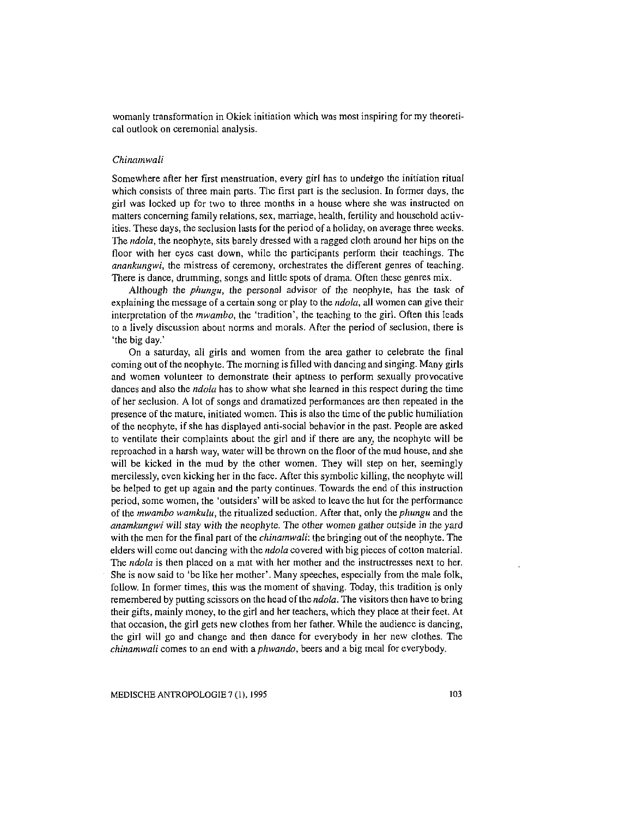womanly transformation in Okiek initiation which was most inspiring for my theoretical outlook on ceremonial analysis.

# *Chinamwali*

Somewhere after her first menstruation, every girl has to undetgo the initiation ritual which consists of three main parts. The first part is the seclusion. In former days, the girl was locked up for two to three months in a house where she was instructed on matters concerning family relations, sex, marriage, health, fertility and household activities. These days, the seclusion lasts for the period of a holiday, on average three weeks. The *ndola,* the neophyte, sits barely dressed with a ragged cloth around her hips on the floor with her eyes cast down, while the participants perform their teachings. The *anankungwi,* the mistress of ceremony, orchestrates the different genres of teaching. There is dance, drumming, songs and little spots of drama. Often these genres mix.

Although the *phungu,* the personal advisor of the neophyte, has the task of explaining the message of a certain song or play to the *ndola,* all women can give their interpretation of the *mwambo,* the 'tradition', the teaching to the girl. Often this leads to a lively discussion about norms and morals. After the period of seclusion, tbere is 'the big day.'

On a saturday, all girls and women from the area gather to celebrate the final coming out of the neophyte. The morning is filled with dancing and singing. Many girls and women volunteer to demonstrate their aptness to perform sexually provocative dances and also the *ndola* has to show what she learned in this respect during the time of her seclusion. A lot of songs and dramatized performances are then repeated in the presence of the mature, initiated women. This is also the time of the public humiliation of the neophyte, if she has displayed anti-social behavior in the past. People are asked to ventilate their complaints about the girl and if there are any, the neophyte will be reproached in a harsh way, water will be thrown on the floor of the mud house, and she will be kicked in the mud by the other women. They will step on her, seemingly mercilessly, even kicking her in the face. After this symbolic killing, the neophyte will be helped to get up again and the party continues. Towards the end of this instruction period, some women, the 'outsiders' will be asked to leave the hut for the performance of the *mwambo wamkulu,* the ritualized seduction. After that, only the *phungu* and the *anamkungwi* will stay with the neophyte. The other women gather outside in the yard with the men for the final part of the *chinamwali:* the bringing out of the neophyte. The elders will come out dancing with the *ndola* covered with big pieces of cotton material. The *ndola* is then placed on a mat with her mother and the instructresses next to her. She is now said to 'be like her mother'. Many speeches, especially from the male folk, follow. In former times, this was the moment of shaving. Today, this tradition is only remembered by putting scissors on the head of the *ndola.* The visitors then have to bring their gifts, mainly money, to the girl and her teachers, which they place at their feet. At that occasion, the girl gets new clothes from her father. While the audience is dancing, the girl will go and change and then dance for everybody in her new clothes. The *chinamwali* comes to an end with a *phwando,* beers and a big meal for everybody.

MEDISCHE ANTROPOLOGIE 7 (1), 1995 103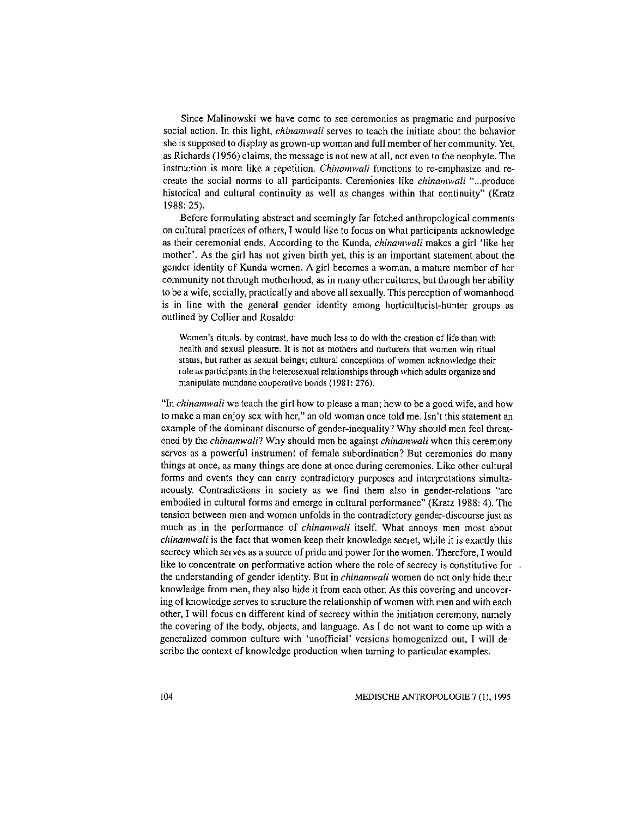Since Malinowski we have come to see ceremonies as pragmatic and purposive social action. In this light, *chinamwali* serves to teach the initiate about the behavior she is supposed to display as grown-up woman and full member of her community. Yet, as Richards (1956) claims, the message is not new at all, not even to the neophyte. The instruction is more like a repetition. *Chinamwali* functions to re-emphasize and recreate the social norms to all participants. Cererrionies like *chinamwali* " ... produce historical and cultural continuity as well as changes within that continuity" (Kratz 1988: 25).

Before formulating abstract and seemingly far-fetched anthropological comments on cultural practices of others, I would like to focus on what participants acknowledge as their ceremonial ends. According to the Kunda, *chinamwali* makes a girl 'like her mother'. As the girl has not given birth yet, this is an important statement about the gender-identity of Kunda women. A girl becomes a woman, a mature member of her community not through motherhood, as in many other cultures, but through her ability to be a wife, socially, practically and above all sexually. This perception of womanhood is in line with the general gender identity among horticulturist-hunter groups as outlined by Collier and Rosaldo:

Women's rituals, by contrast, have much less to do with the creation of life than with health and sexual pleasure. It is not as mothers and nurlurcrs that women win ritual status, but rather as sexual beings; cultural conceptions of women acknowledge their role as participants in the heterosexual relationships through which adults organize and manipulate mundane cooperative bonds (1981: 276).

"In *chinamwali* we teach the girl how to please a man; how to be a good wife, and how to make a man enjoy sex with her," an old woman once told me. Isn't this statement an example of the dominant discourse of gender-inequality? Why should men feel threatened by the *chinamwali?* Why should men be against *chinamwali* when this ceremony serves as a powerful instrument of female subordination? But ceremonies do many things at once, as many things are done at once during ceremonies. Like other cultural forms and events they can carry contradictory purposes and interpretations simultaneously. Contradictions in society as we find them also in gender-relations "are embodied in cultural forms and emerge in cultural performance" (Kratz 1988: 4). The tension between men and women unfolds in the contradictory gender-discourse just as much as in the performance of *chinamwali* itself. What annoys men most about *chinamwali* is the fact that women keep their knowledge secret, while it is exactly this secrecy which serves as a source of pride and power for the women. Therefore, I would like to concentrate on performative action where the role of secrecy is constitutive for the understanding of gender identity. But in *chinamwali* women do not only hide their knowledge from men, they also hide it from each other. As this covering and uncovering of knowledge serves to structure the relationship of women with men and with each other, I wi1l focus on different kind of secrecy within the initiation ceremony, namely the covering of the body, objects, and language. As I do not want to come up with a generalized common culture with 'unofficial' versions homogenized out, I will describe the context of knowledge production when turning to particular examples.

104 MEDISCHE ANTROPOLOGIE 7 (I). 1995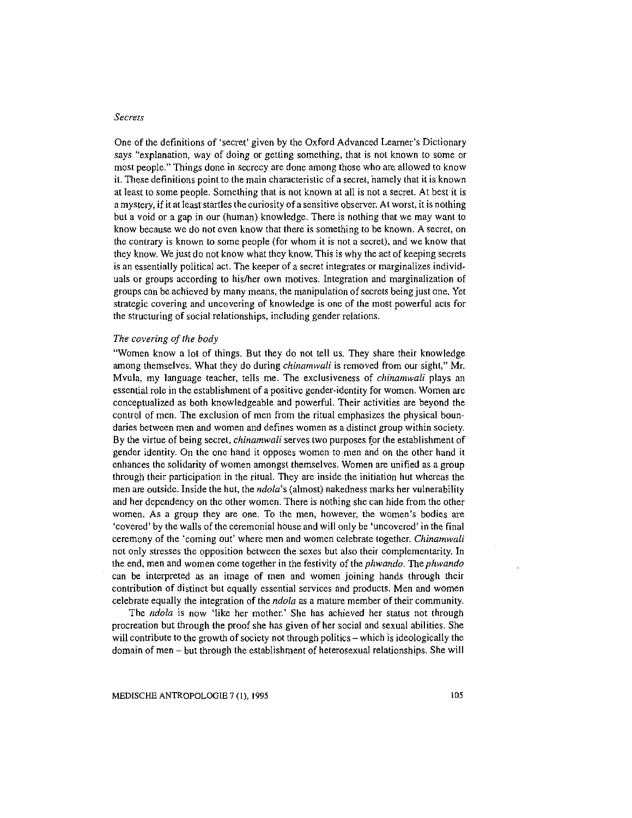#### *Secrets*

One of the definitions of 'secret' given by the Oxford Advanced Learner's Dictionary says "explanation, way of doing or getting something, that is not known to some or most people." Things done in secrecy are done among those who are allowed to know it. These definitions point to the main characteristic of a secret, hamely that it is known at least to some people. Something that is not known at all is not a secret. At best it is a mystery, if it at least startles the curiosity of a sensitive observer. At worst, it is nothing but a void or a gap in our (human) knowledge. There is nothing that we may want to know because we do not even know that there is something to be known. A secret, on the contrary is known to some people (for whom it is not a secret), and we know that they know. We just do not know what they know. This is why the act of keeping secrets is an essentially political act. The keeper of a secret integrates or marginalizes individuals or groups according to his/her own motives. Integration and marginalization of groups can be achieved by many means, the manipulation of secrets being just one. Yet strategic covering and uncovering of knowledge is one of the most powerful acts for the structuring of social relationships, including gender relations.

#### *The covering of the body*

"Women know a lot of things. But they do not tell us. They share their knowledge among themselves. What they do during *chinamwali* is removed from our sight," Mr. Mvula, my language teacher, tells me. The exclusiveness of *chinamwali* plays an essential role in the establishment of a positive gender-identity for women. Women are conceptualized as both knowledgeable and powerful. Their activities are beyond the control of men. The exclusion of men from the ritual emphasizes the physical boundaries between men and women and defines women as a distinct group within society. By the virtue of being secret, *chinamwali* serves two purposes {or the establishment of gender identity. On the one hand it opposes women to men and on the other hand it enhances the solidarity of women amongst themselves. Women are unified as a group through their participation in the ritual. They are inside the initiation hut whereas the men are outside. Inside the hut, the *ndola's* (almost) nakedness marks her vulnerability and her dependency on the other women. There is nothing she can hide from the other women. As a group they are one. To the men, however, the women's bodies are 'covered' by the walls of the ceremonial house and will only be 'uncovered' in the final ceremony of the 'coming out' where men and women celebrate together. *Chinamwali*  not only stresses the opposition between the sexes but also their complementarity. In the end, men and women come together in the festivity of the *phwando.* The *phwando*  can be interpreted as an image of men and women joining hands through their contribution of distinct but equally essential services and products. Men and women celebrate equally the integration of the *ndola* as a mature member of their community.

The *ndola* is now 'like her mother.' She has achieved her status not through procreation but through the proof she has given of her social and sexual abilities. She will contribute to the growth of society not through politics – which is ideologically the domain of men- but through the establishment of heterosexual relationships. She will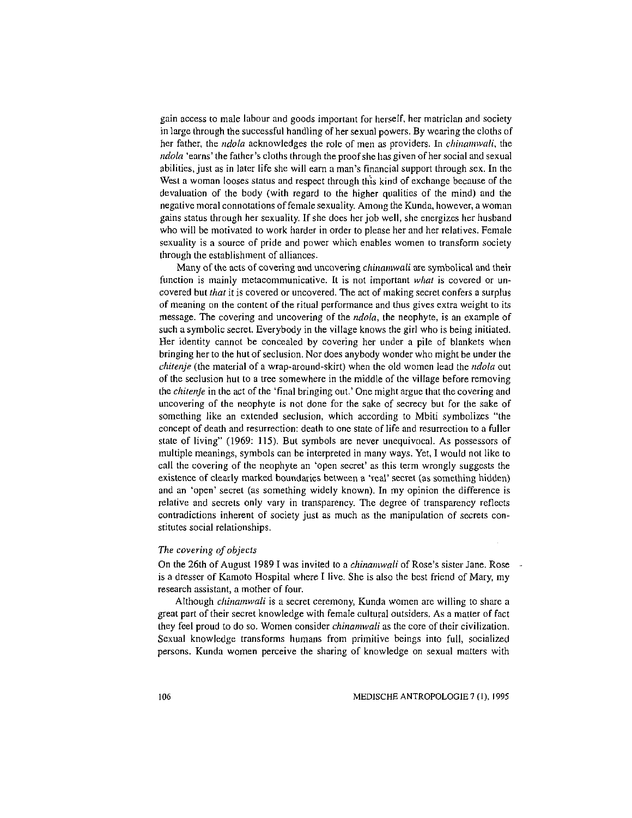gain access to male labour and goods important for herself. her matriclan and society in large through the successful handling of her sexual powers. By wearing the cloths of her father, the *ndola* acknowledges the role of men as providers. In *chinamwali,* the *ndola* 'earns' the father's cloths through the proof she has given of her social and sexual abilities, just as in later life she will earn a man's financial support through sex. In the West a woman looses status and respect through this kind of exchange because of the devaluation of the body (with regard to the higher qualities of the mind) and the negative moral connotations of female sexuality. Among the Kunda, however, a woman gains status through her sexuality. If she does her job well, she energizes her husband who will be motivated to work harder in order to please her and her relatives. Female sexuality is a source of pride and power which enables women to transform society through the establishment of alliances.

Many of the acts of covering and uncovering *chinamwali* are symbolical and their function is mainly metacommunicative. It is not important *what* is covered or uncovered but *that* it is covered or uncovered. The act of making secret confers a surplus of meaning on the content of the ritual performance and thus gives extra weight to its message. The covering and uncovering of the *ndola,* the neophyte, is an example of such a symbolic secret. Everybody in the village knows the girl who is being initiated. Her identity cannot be concealed by covering her under a pile of blankets when bringing her to the hut of seclusion. Nor does anybody wonder who might be under the *chitenje* (the material of a wrap-around-skirt) when the old women lead the *ndola* out of the seclusion hut to a tree somewhere in the middle of the village before removing the *chitenje* in the act of the 'final bringing out.' One might argue that the covering and uncovering of the neophyte is not done for the sake of secrecy but for the sake of something like an extended seclusion, which according to Mbiti symbolizes "the concept of death and resurrection: death to one state of life and resurrection to a fuller state of living" (1969: 115). But symbols are never unequivocal. As possessors of multiple meanings, symbols can be interpreted in many ways. Yet, I would not like to call the covering of the neophyte an 'open secret' as this term wrongly suggests the existence of clearly marked boundaries between a 'real' secret (as something hidden) and an 'open' secret (as something widely known). In my opinion the difference is relative and secrets only vary in transparency. The degree of transparency reflects contradictions inherent of society just as much as the manipulation of secrets constitutes social relationships.

#### *The covering of objects*

On the 26th of August 1989 I was invited to a *chinamwali* of Rose's sister Jane. Rose is a dresser of Kamoto Hospital where I live. She is also the best friend of Mary, my research assistant, a mother of four.

Although *chinamwali* is a secret ceremony, Kunda women are willing to share a great part of their secret knowledge with female cultural outsiders. As a matter of fact they feel proud to do so. Women consider *chinamwali* as the core of their civilization. Sexual knowledge transforms humans from primitive beings into full, socialized persons. Kunda women perceive the sharing of knowledge on sexual matters with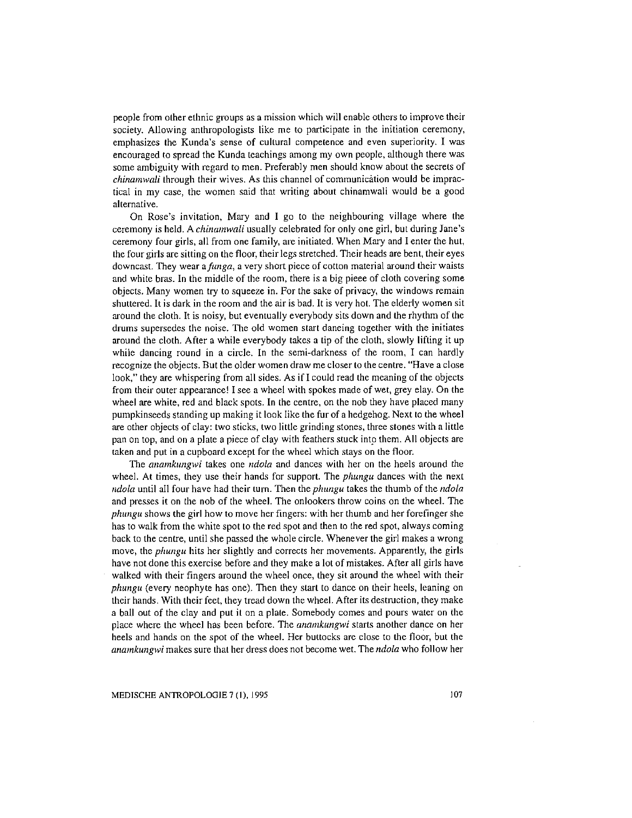**people from other ethnic groups as a mission which will enable others to improve their society. Allowing anthropologists like me to participate in the initiation ceremony, emphasizes the Kunda's sense of cultural competence and even superiority. I was encouraged to spread the Kunda teachings among my own people, although there was some ambiguity with regard to men. Preferably men should know about the secrets of**  *chinamwali* **through their wives. As this channel of communication would be impractical in my case, the women said that writing about chinamwali would be a good alternative.** 

**On Rose's invitation, Mary and I go to the neighbouring village where the**  ceremony is held. A *chinamwali* usually celebrated for only one girl, but during Jane's ceremony four girls, all from one family, are initiated. When Mary and I enter the hut, the four girls are sitting on the floor, their legs stretched. Their heads are bent, their eyes **downcast. They wear** *afunga,* **a very short piece of cotton material around their waists**  and white bras. In the middle of the room, there is a big pieee of cloth covering some **objects. Many women try to squeeze in. For the sake of privacy, the windows remain**  shuttered. It is dark in the room and the air is bad. It is very hot. The elderly women sit around the cloth. It is noisy, but eventually everybody sits down and the rhythm of the **drums supersedes the noise. The old women start daneing together with the initiates**  around the cloth. After a while everybody takes a tip of the cloth, slowly lifting it up **while dancing round in a circle. In the semi-darkness of the room, I can hardly recognize the objects. But the older women draw me closer to the centre. "Have a close**  look," they are whispering from all sides. As if I could read the meaning of the objects from their outer appearance! I see a wheel with spokes made of wet, grey elay. On the wheel are white, red and black spots. In the centre, on the nob they have placed many pumpkinseeds standing up making it look like the fur of a hedgehog. Next to the wheel **are other objects of clay: two sticks, two little grinding stones, three stones with a little**  pan on top, and on a plate a piece of clay with feathers stuck into them. All objects are **taken and put in a cupboard except for the wheel which stays on the floor.** 

**The** *anamkwzgwi* **takes one** *ndola* **and dances with her on the heels around the**  wheel. At times, they use their hands for support. The *phungu* dances with the next *ndola* until all four have had their turn. Then the *phwzgu* takes the thumb of the *ndola*  **and presses it on the nob of the wheel. The onlookers throw coins on the wheel. The**  *phangu* shows the girl how to move her fingers: with her thumb and her forefinger she has to walk from the white spot to the red spot and then to the red spot, always coming **back to the centre, until she passed the whole circle. Whenever the girl makes a wrong**  move, the *phungu* hits her slightly and corrects her movements. Apparently, the girls **have not done this exercise before and they make a lot of mistakes. After all girls have**  walked with their fingers around the wheel once, they sit around the wheel with their *phungu* (every neophyte has one). Then they start to dance on their heels, leaning on their hands. With their feet, they tread down the wheel. After its destruction, they make a ball out of the clay and put it on a plate. Somebody comes and pours water on the **place where the wheel has been before. The** *anamkungwi* **starts another dance on her** heels and hands on the spot of the wheel. Her buttocks are close to the floor, but the *anamkwzgwi* **makes sure that her dress does not become wet. The** *ndola* **who follow her** 

MEDISCHE ANTROPOLOGIE 7 (1), 1995 107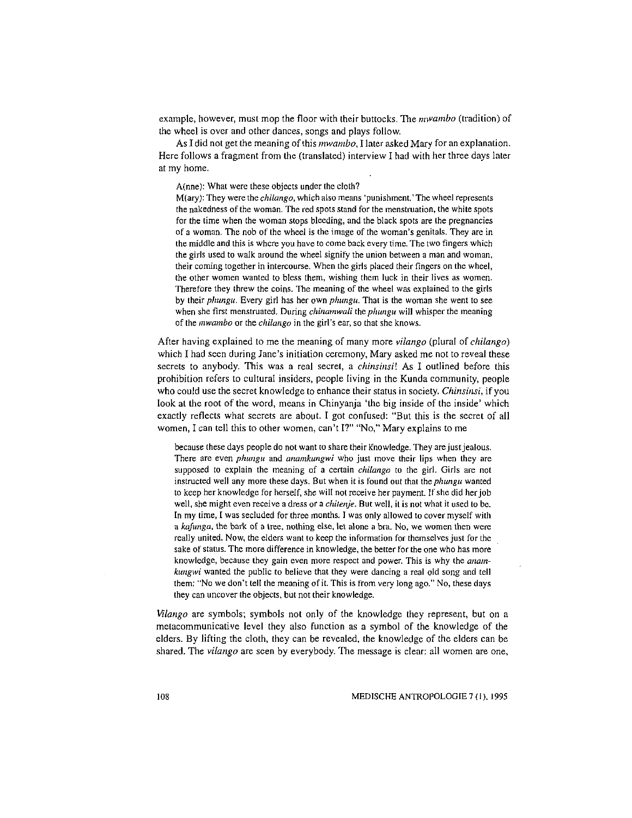example, however, must mop the floor with their buttocks. The *nnvambo* (tradition) of the wheel is over and other dances, songs and plays follow.

As I did not get the meaning of this *mwambo,* I later asked Mary for an explanation. Here follows a fragment from the (translated) interview I had with her three days later at my home.

A(nne): What were these objects under the cloth?

M(ary): They were the *chiiango,* which also means 'punishment.' The wheel represents the nakedness of the woman. The red spots stand for the menstruation, the white spots for the time when the woman stops bleeding, and the black spots are the pregnancies of a woman. The nob of the wheel is the image of the woman's genitals. They are in the middle and this is where you have to come back every time. The two fingers which the girls used to walk around the wheel signify the union between a man and woman, their coming together in intercourse. When the girls placed their fingers on the wheel, the other women wanted to bless them, wishing them luck in their lives as women. Therefore they threw the coins. The meaning of the wheel was explained to the girls by their *plumgu.* Every girl has her own *plumgu.* That is the woman she went to see when she first menstruated. During *chinamwali* the *phungu* will whisper the meaning of the *mwambo* or the *chilango* in the girl's ear, so that she knows.

After having explained to me the meaning of many more *vilango* (plural of *chilango)*  which I had seen during Jane's initiation ceremony, Mary asked me not to reveal these secrets to anybody. This was a real secret, a *chinsinsi!* As I outlined before this prohibition refers to cultural insiders, people living in the Kunda community, people who could use the secret knowledge to enhance their status in society. *Chinsinsi,* if you look at the root of the word, means in Chinyanja 'the big inside of the inside' which exactly reflects what secrets are about. I got confused: "But this is the secret of all women, I can tell this to other women, can't I?" "No," Mary explains to me

because these days people do not want to share their Knowledge. They are just jealous. There are even *phungu* and *anamkungwi* who just move their lips when they are supposed to explain the meaning of a certain *chiiango* to the girl. Girls are not instructed well any more these days. But when it is found out that the *phungu* wanted to keep her knowledge for herself, she will not receive her payment. If she did her job well, she might even receive a dress or a *chitenje.* But well, it is not what it used to be. In my time, I was secluded for three months. I was only allowed to cover myself with a *kafunga,* the bark of a tree, nothing else, let alone a bra. No, we women then were really united. Now, the elders want to keep the information for themselves just for the sake of status. The more difference in knowledge, the better for the one who has more knowledge, because they gain even more respect and power. This is why the *anamkuugwi* wanted the public to believe that they were dancing a real old song and tell them: "No we don't tell the meaning of it. This is from very long ago." No, these days they can uncover the objects, but not their knowledge.

*Vilango* are symbols; symbols not only of the knowledge they represent, but on a metacommunicative level they also function as a symbol of the knowledge of the elders. By lifting the cloth, they can be revealed, the knowledge of the elders can be shared. The *vilango* are seen by everybody. The message is clear: all women are one,

108 MEDISCHE ANTROPOLOGIE 7 (1 ). 1995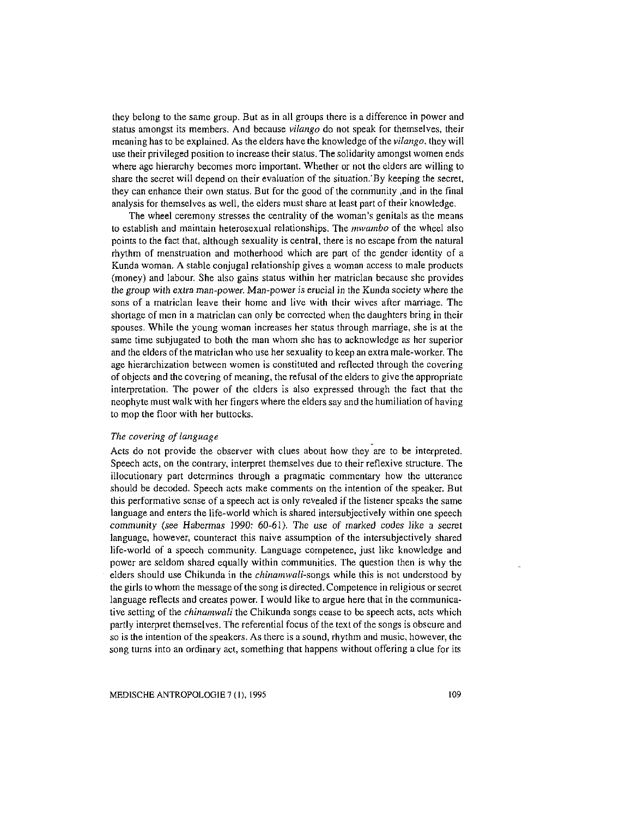they belong to the same group. But as in all groups there is a difference in power and status amongst its members. And because *vilango* do not speak for themselves, their meaning has to be explained. As the elders have the knowledge of the *vilango.* they will use their privileged position to increase their status. The solidarity amongst women ends where age hierarchy becomes more important. Whether or not the elders are willing to share the secret will depend on their evaluation of the situation.· By keeping the secret, they can enhance their own status. But for the good of the community ,and in the final analysis for themselves as well, the elders must share at least part of their knowledge.

The wheel ceremony stresses the centrality of the woman's genitals as the means to establish and maintain heterosexual relationships. The *mwambo* of the wheel also points to the fact that, although sexuality is central, there is no escape from the natural rhythm of menstruation and motherhood which are part of the gender identity of a Kunda woman. A stable conjugal relationship gives a woman access to male products (money) and labour. She also gains status within her matriclan because she provides the group with extra man-power. Man-power is erucial in the Kunda society where the sons of a matriclan leave their home and live with their wives after marriage. The shortage of men in a matriclan can only be corrected when the daughters bring in their spouses. While the young woman increases her status through marriage, she is at the same time subjugated to both the man whom she has to acknowledge as her superior and the elders ofthe matriclan who use her sexuality to keep an extra male-worker. The age hierarchization between women is constituted and reflected through the covering of objects and the covering of meaning, the refusal of the elders to give the appropriate interpretation. The power of the elders is also expressed through the fact that the neophyte must walk with her fingers where the elders say and the humiliation of having to mop the floor with her buttocks.

# *The covering of language*

Acts do not provide the observer with clues about how they are to be interpreted. Speech acts, on the contrary, interpret themselves due to their reflexive structure. The illocutionary part determines through a pragmatic commentary how the utterance should be decoded. Speech acts make comments on the intention of the speaker. But this performative sense of a speech act is only revealed if the listener speaks the same language and enters the life-world which is shared intersubjectively within one speech community (see Habermas 1990: 60-61 ). The use of marked *codes* like a secret language, however, counteract this naive assumption of the intersubjectively shared life-world of a speech community. Language competenee, just like knowledge and power are seldom shared equally within communities. The question then is why the elders should use Chikunda in the *chinamwali-songs* while this is not understood by the girls to whom the message of the song is directed. Competence in religious or secret language reflects and creates power. I would like to argue here that in the communicative setting of the *chinamwali* the Chikunda songs cease to be speech acts, acts which partly interpret themselves. The referential focus of the text of the songs is obscure and so is the intention of the speakers. As there is a sound, rhythm and music, however, the song turns into an ordinary act, something that happens without offering a clue for its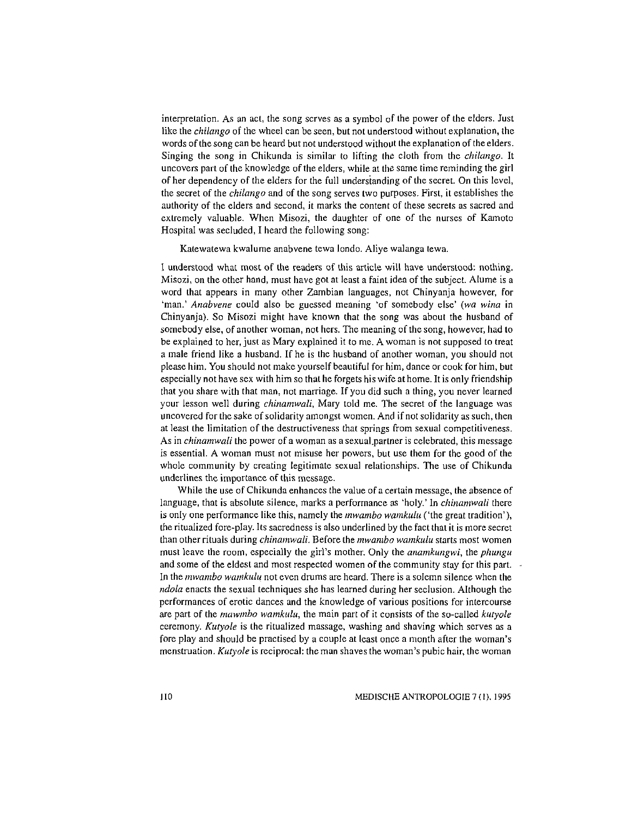interpretation. As an act, the song serves as a symbol of the power of the elders. Just like the *chilango* of the wheel can be seen, but not understood without explanation, the words of the song can be heard but not understood without the explanation of the elders. Singing the song in Chikunda is similar to lifting the cloth from the *chilango.* It uncovers part of the knowledge of the elders, while at the same time reminding the girl of her dependency of the elders for the full undersianding of the secret. On this level, the secret of the *chilango* and of the song serves two purposes. First, it establishes the authority of the elders and second, it marks the content of these secrets as sacred and extremely valuable. When Misozi, the daughter of one of the nurses of Kamoto Hospital was secluded, I heard the following song:

Katewatewa kwalume anabvene tewa londo. Aliye walanga tewa.

1 understood what most of the readers of this article will have understood: nothing. Misozi, on the other hand, must have got at least a faint idea of the subject. Alume is a word that appears in many other Zambian languages, not Chinyanja however, for 'man.' *Anabvene* could also be guessed meaning 'of somebody else' *(wa wina* in Chinyanja). So Misozi might have known that the song was about the husband of somebody else, of another woman, not hers. The meaning of the song, however, had to be explained to her, just as Mary explained it to me. A woman is not supposed to treat a male friend like a husband. If he is the husband of another woman, you should not please him. You should not make yourself beautiful for him, dance or cook for him, but especially not have sex with him so that he forgets his wife at home. It is only friendship that you share with that man, not marriage. If you did such a thing, you never learned your lesson well during *chinamwali,* Mary told me. The secret of the language was uncovered for the sake of solidarity amongst women. And if not solidarity as such, then at least the limitation of the destructiveness that springs from sexual competitiveness. As in *chinamwali* the power of a woman as a sexuaLpartner is celebrated, this message is essential. A woman must not misuse her powers, but use them for the good of the whole community by creating legitimate sexual relationships. The use of Chikunda underlines the importance of this message.

While the use of Chikunda enhances the value of a certain message, the absence of language, that is absolute silence, marks a performance as 'holy.' In *chinamwali* there is only one performance like this, namely the *mwambo wamkulu* ('the great tradition'), the ritualized fore-play. Its sacredness is also underlined by the fact that it is more secret than other rituals during *chinamwali.* Before the *mwambo wamkulu* starts most women must leave the room, especially the girl's mother. Only the *anamkungwi,* the *plmngu*  and some of the eldest and most respected women of the community stay for this part. In the *mwambo wamkulu* not even drums are heard. There is a solemn silence when the *ndola* enacts the sexual techniques she has learned during her seclusion. Although the performances of erotic dances and the knowledge of various positions for intercourse are part of the *mawmbo wamkulu,* the main part of it consists of the so-called *kutyole*  ceremony. *Kutyole* is the ritualized massage, washing and shaving which serves as a fore play and should be practised by a couple at least once a month after the woman's menstruation. *Kutyole* is reciprocal: the man shaves the woman's pubic hair, the woman

liD MEDISCHE ANTROPOLOGIE 7 (I), 1995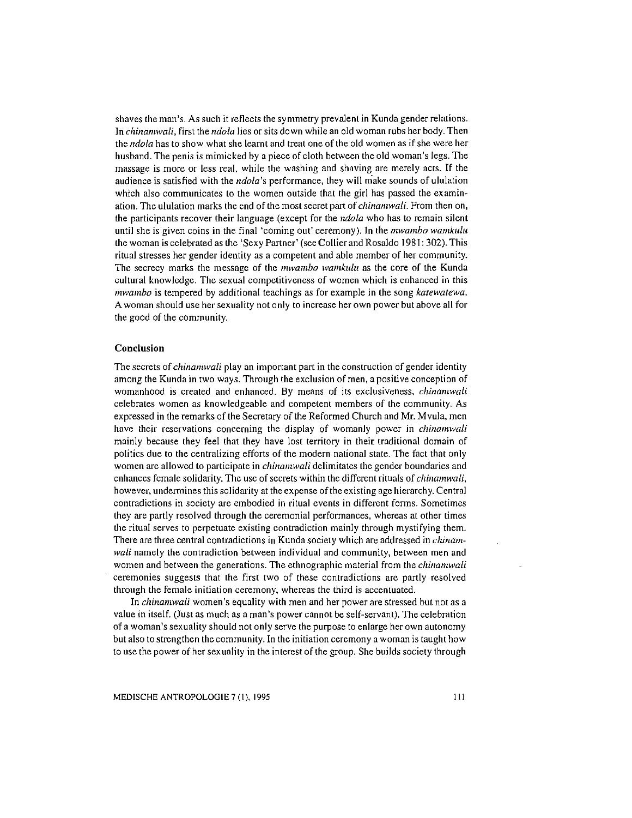shaves the man's. As such it reflects the symmetry prevalent in Kunda gender relations. In *chinamwali,* first the *ndola* lies or sits down while an old woman rubs her body. Then the *ndola* has to show what she learnt and treat one of the old women as if she were her husband. The penis is mimicked by a piece of cloth between the old woman's legs. The massage is more or less real. while the washing and shaving are merely acts. If the audience is satisfied with the *ndola*'s performance, they will make sounds of ululation which also communicates to the women outside that the girl has passed the examination. The ululation marks the end of the most secret part of *chinamwali.* From then on, the participants recover their language (except for the *ndola* who has to remain silent until she is given coins in the final 'coming out' ceremony). In the *mwambo wamkulu*  the woman is celebrated as the 'Sexy Partner' (see Collier and Rosaldo 1981: 302). This ritual stresses her gender identity as a competent and able member of her community. The secrecy marks the message of the *mwambo wamkulu* as the core of the Kunda cultural knowledge. The sexual competitiveness of women which is enhanced in this *mwambo* is tempered by additional teachings as for example in the song *katewatewa.*  A woman should use her sexuality not only to increase her own power but above all for the good of the community.

## **Conclusion**

The secrets of *chinamwali* play an important part in the construction of gender identity among the Kunda in two ways. Through the exclusion of men, a positive conception of womanhood is created and enhanced. By means of its exclusiveness, *chinamwali*  celebrates women as knowledgeable and competent members of the community. As expressed in the remarks of the Secretary of the Reformed Church and Mr. M vula, men have their reservations concerning the display of womanly power in *chinamwali*  mainly because they feel that they have lost territory in their traditional domain of politics due to the centralizing efforts of the modern national state. The fact that only women are allowed to participate in *chinamwali* delimitates the gender boundaries and enhances female solidarity. The use of secrets within the different rituals of *chinamwali,*  however, undermines this solidarity at the expense of the existing age hierarchy. Central contradictions in society are embodied in ritual events in different forms. Sometimes they are partly resolved through the ceremonial performances, whereas at other times the ritual serves to perpetuate existing contradiction mainly through mystifying them. There are three central contradictions in Kunda society which are addressed in *chinamwali* namely the contradiction between individual and community, between men and women and between the generations. The ethnographic material from the *chinamwali*  ceremonies suggests that the first two of these contradictions are partly resolved through the female initiation ceremony, whereas the third is accentuated.

In *chinamwali* women's equality with men and her power are stressed but not as a value in itself. (Just as much as a man's power cannot be self-servant). The celebration of a woman's sexuality should not only serve the purpose to enlarge her own autonomy but also to strengthen the community. In the initiation ceremony a woman is taught how to use the power of her sexuality in the interest of the group. She builds society through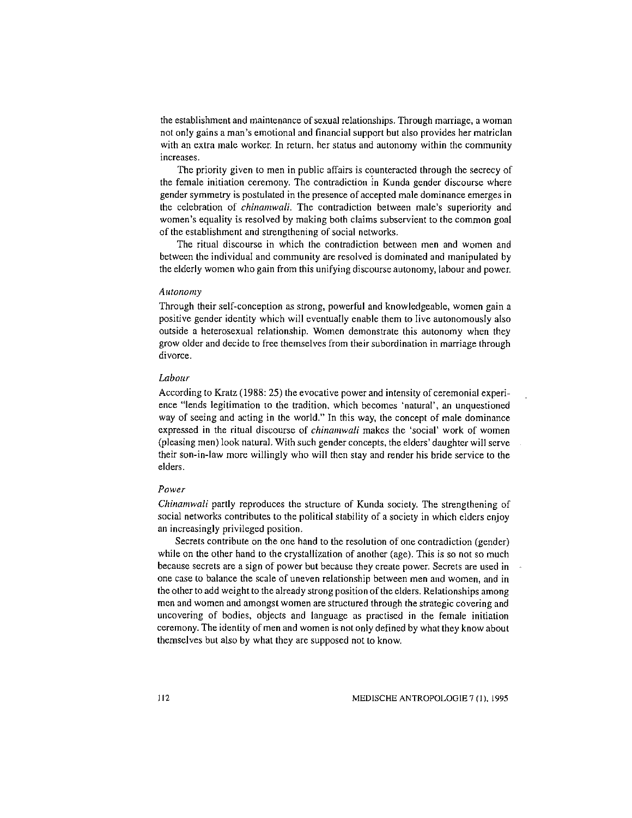the establishment and maintenance of sexual relationships. Through marriage, a woman not only gains a man's emotional and financial support but also provides her matriclan with an extra male worker. In return, her status and autonomy within the community increases.

The priority given to men in public affairs is counteracted through the secrecy of the female initiation ceremony. The contradiction in Kunda gender discourse where gender symmetry is postulated in the presence of accepted male dominance emerges in the celebration of *chinamwali.* The contradiction between male's superiority and women's equality is resolved by making both claims subservient to the common goal of the establishment and strengthening of social networks.

The ritual discourse in which the contradiction between men and women and between the individual and community are resolved is dominated and manipulated by the elderly women who gain from this unifying discourse autonomy, labour and power.

#### *Autonomy*

Through their self-conception as strong, powerful and knowledgeable, women gain a positive gender identity which will eventually enable them to live autonomously also outside a heterosexual relationship. Women demonstrate this autonomy when they grow older and decide to free themselves from their subordination in marriage through divorce.

# *Labour*

According to Kratz (1988: 25) the evocative power and intensity of ceremonial experience "lends legitimation to the tradition, which becomes 'natural', an unquestioned way of seeing and acting in the world." In this way, the concept of male dominance expressed in the ritual discourse of *chinamwali* makes the 'social' work of women (pleasing men) look natural. With such gender concepts, the elders' daughter will serve their son-in-law more willingly who will then stay and render his bride service to the elders.

#### *Power*

*Chinamwali* partly reproduces the structure of Kunda society. The strengthening of social networks contributes to the political stability of a society in which elders enjoy an increasingly privileged position.

Secrets contribute on the one hand to the resolution of one contradiction (gender) while on the other hand to the crystallization of another (age). This is so not so much because secrets are a sign of power but because they create power. Secrets are used in one case to balance the scale of uneven relationship between men and women, and in the other to add weight to the already strong position of the elders. Relationships among men and women and amongst women are structured through the strategic covering and uncovering of bodies, objects and language as practised in the female initiation ceremony. The identity of men and women is not only defined by what they know about themselves but also by what they are supposed not to know.

I 12 MEDISCHE ANTROPOLOGIE 7 (1), 1995